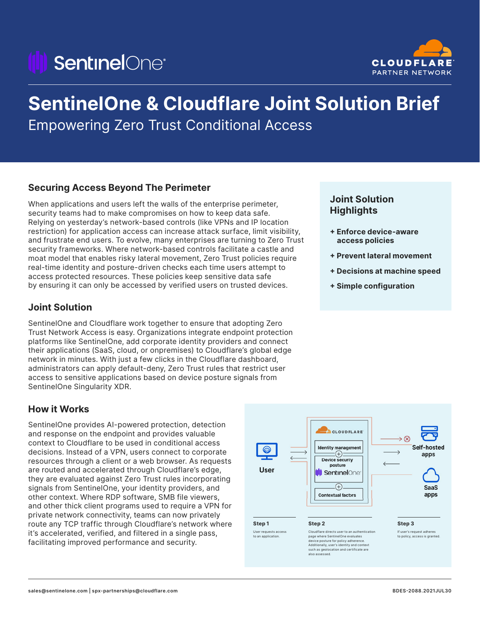# *SentinelOne®*



## **SentinelOne & Cloudflare Joint Solution Brief**

Empowering Zero Trust Conditional Access

## **Securing Access Beyond The Perimeter**

When applications and users left the walls of the enterprise perimeter, security teams had to make compromises on how to keep data safe. Relying on yesterday's network-based controls (like VPNs and IP location restriction) for application access can increase attack surface, limit visibility, and frustrate end users. To evolve, many enterprises are turning to Zero Trust security frameworks. Where network-based controls facilitate a castle and moat model that enables risky lateral movement, Zero Trust policies require real-time identity and posture-driven checks each time users attempt to access protected resources. These policies keep sensitive data safe by ensuring it can only be accessed by verified users on trusted devices.

## **Joint Solution**

SentinelOne and Cloudflare work together to ensure that adopting Zero Trust Network Access is easy. Organizations integrate endpoint protection platforms like SentinelOne, add corporate identity providers and connect their applications (SaaS, cloud, or onpremises) to Cloudflare's global edge network in minutes. With just a few clicks in the Cloudflare dashboard, administrators can apply default-deny, Zero Trust rules that restrict user access to sensitive applications based on device posture signals from SentinelOne Singularity XDR.

## **How it Works**

SentinelOne provides AI-powered protection, detection and response on the endpoint and provides valuable context to Cloudflare to be used in conditional access decisions. Instead of a VPN, users connect to corporate resources through a client or a web browser. As requests are routed and accelerated through Cloudflare's edge, they are evaluated against Zero Trust rules incorporating signals from SentinelOne, your identity providers, and other context. Where RDP software, SMB file viewers, and other thick client programs used to require a VPN for private network connectivity, teams can now privately route any TCP traffic through Cloudflare's network where it's accelerated, verified, and filtered in a single pass, facilitating improved performance and security.

## **Joint Solution Highlights**

- **+ Enforce device-aware access policies**
- **+ Prevent lateral movement**
- **+ Decisions at machine speed**
- **+ Simple configuration**